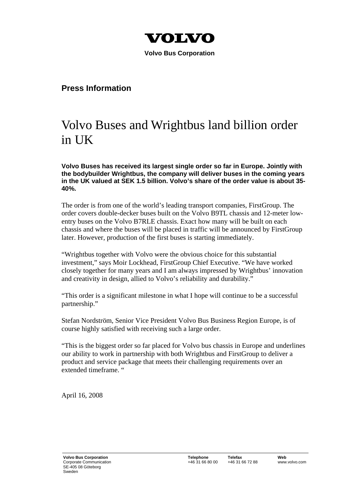

 **Volvo Bus Corporation** 

## **Press Information**

## Volvo Buses and Wrightbus land billion order in UK

**Volvo Buses has received its largest single order so far in Europe. Jointly with the bodybuilder Wrightbus, the company will deliver buses in the coming years in the UK valued at SEK 1.5 billion. Volvo's share of the order value is about 35- 40%.** 

The order is from one of the world's leading transport companies, FirstGroup. The order covers double-decker buses built on the Volvo B9TL chassis and 12-meter lowentry buses on the Volvo B7RLE chassis. Exact how many will be built on each chassis and where the buses will be placed in traffic will be announced by FirstGroup later. However, production of the first buses is starting immediately.

"Wrightbus together with Volvo were the obvious choice for this substantial investment," says Moir Lockhead, FirstGroup Chief Executive. "We have worked closely together for many years and I am always impressed by Wrightbus' innovation and creativity in design, allied to Volvo's reliability and durability."

"This order is a significant milestone in what I hope will continue to be a successful partnership."

Stefan Nordström, Senior Vice President Volvo Bus Business Region Europe, is of course highly satisfied with receiving such a large order.

"This is the biggest order so far placed for Volvo bus chassis in Europe and underlines our ability to work in partnership with both Wrightbus and FirstGroup to deliver a product and service package that meets their challenging requirements over an extended timeframe. "

April 16, 2008